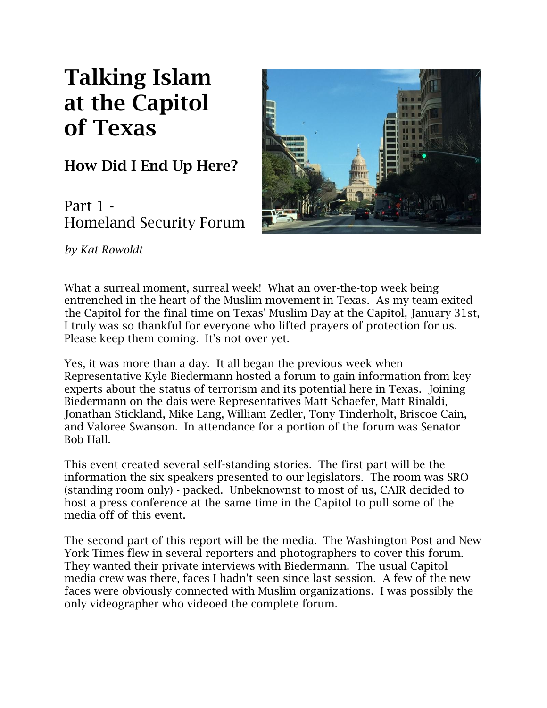## **Talking Islam at the Capitol of Texas**

**How Did I End Up Here?**

Part 1 - Homeland Security Forum



*by Kat Rowoldt*

What a surreal moment, surreal week! What an over-the-top week being entrenched in the heart of the Muslim movement in Texas. As my team exited the Capitol for the final time on Texas' Muslim Day at the Capitol, January 31st, I truly was so thankful for everyone who lifted prayers of protection for us. Please keep them coming. It's not over yet.

Yes, it was more than a day. It all began the previous week when Representative Kyle Biedermann hosted a forum to gain information from key experts about the status of terrorism and its potential here in Texas. Joining Biedermann on the dais were Representatives Matt Schaefer, Matt Rinaldi, Jonathan Stickland, Mike Lang, William Zedler, Tony Tinderholt, Briscoe Cain, and Valoree Swanson. In attendance for a portion of the forum was Senator Bob Hall.

This event created several self-standing stories. The first part will be the information the six speakers presented to our legislators. The room was SRO (standing room only) - packed. Unbeknownst to most of us, CAIR decided to host a press conference at the same time in the Capitol to pull some of the media off of this event.

The second part of this report will be the media. The Washington Post and New York Times flew in several reporters and photographers to cover this forum. They wanted their private interviews with Biedermann. The usual Capitol media crew was there, faces I hadn't seen since last session. A few of the new faces were obviously connected with Muslim organizations. I was possibly the only videographer who videoed the complete forum.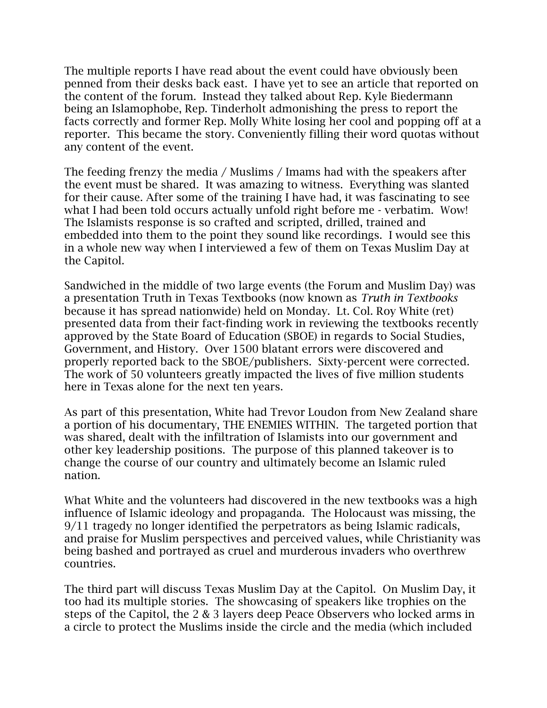The multiple reports I have read about the event could have obviously been penned from their desks back east. I have yet to see an article that reported on the content of the forum. Instead they talked about Rep. Kyle Biedermann being an Islamophobe, Rep. Tinderholt admonishing the press to report the facts correctly and former Rep. Molly White losing her cool and popping off at a reporter. This became the story. Conveniently filling their word quotas without any content of the event.

The feeding frenzy the media / Muslims / Imams had with the speakers after the event must be shared. It was amazing to witness. Everything was slanted for their cause. After some of the training I have had, it was fascinating to see what I had been told occurs actually unfold right before me - verbatim. Wow! The Islamists response is so crafted and scripted, drilled, trained and embedded into them to the point they sound like recordings. I would see this in a whole new way when I interviewed a few of them on Texas Muslim Day at the Capitol.

Sandwiched in the middle of two large events (the Forum and Muslim Day) was a presentation Truth in Texas Textbooks (now known as *Truth in Textbooks*  because it has spread nationwide) held on Monday. Lt. Col. Roy White (ret) presented data from their fact-finding work in reviewing the textbooks recently approved by the State Board of Education (SBOE) in regards to Social Studies, Government, and History. Over 1500 blatant errors were discovered and properly reported back to the SBOE/publishers. Sixty-percent were corrected. The work of 50 volunteers greatly impacted the lives of five million students here in Texas alone for the next ten years.

As part of this presentation, White had Trevor Loudon from New Zealand share a portion of his documentary, THE ENEMIES WITHIN. The targeted portion that was shared, dealt with the infiltration of Islamists into our government and other key leadership positions. The purpose of this planned takeover is to change the course of our country and ultimately become an Islamic ruled nation.

What White and the volunteers had discovered in the new textbooks was a high influence of Islamic ideology and propaganda. The Holocaust was missing, the 9/11 tragedy no longer identified the perpetrators as being Islamic radicals, and praise for Muslim perspectives and perceived values, while Christianity was being bashed and portrayed as cruel and murderous invaders who overthrew countries.

The third part will discuss Texas Muslim Day at the Capitol. On Muslim Day, it too had its multiple stories. The showcasing of speakers like trophies on the steps of the Capitol, the 2 & 3 layers deep Peace Observers who locked arms in a circle to protect the Muslims inside the circle and the media (which included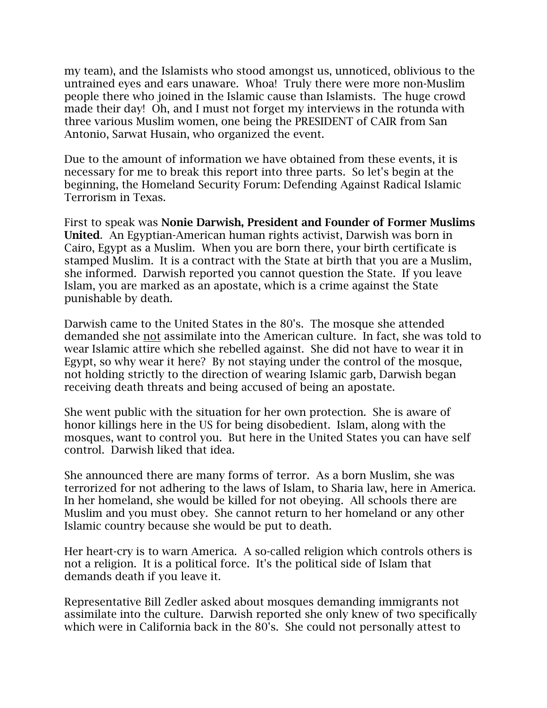my team), and the Islamists who stood amongst us, unnoticed, oblivious to the untrained eyes and ears unaware. Whoa! Truly there were more non-Muslim people there who joined in the Islamic cause than Islamists. The huge crowd made their day! Oh, and I must not forget my interviews in the rotunda with three various Muslim women, one being the PRESIDENT of CAIR from San Antonio, Sarwat Husain, who organized the event.

Due to the amount of information we have obtained from these events, it is necessary for me to break this report into three parts. So let's begin at the beginning, the Homeland Security Forum: Defending Against Radical Islamic Terrorism in Texas.

First to speak was **Nonie Darwish, President and Founder of Former Muslims United**. An Egyptian-American human rights activist, Darwish was born in Cairo, Egypt as a Muslim. When you are born there, your birth certificate is stamped Muslim. It is a contract with the State at birth that you are a Muslim, she informed. Darwish reported you cannot question the State. If you leave Islam, you are marked as an apostate, which is a crime against the State punishable by death.

Darwish came to the United States in the 80's. The mosque she attended demanded she not assimilate into the American culture. In fact, she was told to wear Islamic attire which she rebelled against. She did not have to wear it in Egypt, so why wear it here? By not staying under the control of the mosque, not holding strictly to the direction of wearing Islamic garb, Darwish began receiving death threats and being accused of being an apostate.

She went public with the situation for her own protection. She is aware of honor killings here in the US for being disobedient. Islam, along with the mosques, want to control you. But here in the United States you can have self control. Darwish liked that idea.

She announced there are many forms of terror. As a born Muslim, she was terrorized for not adhering to the laws of Islam, to Sharia law, here in America. In her homeland, she would be killed for not obeying. All schools there are Muslim and you must obey. She cannot return to her homeland or any other Islamic country because she would be put to death.

Her heart-cry is to warn America. A so-called religion which controls others is not a religion. It is a political force. It's the political side of Islam that demands death if you leave it.

Representative Bill Zedler asked about mosques demanding immigrants not assimilate into the culture. Darwish reported she only knew of two specifically which were in California back in the 80's. She could not personally attest to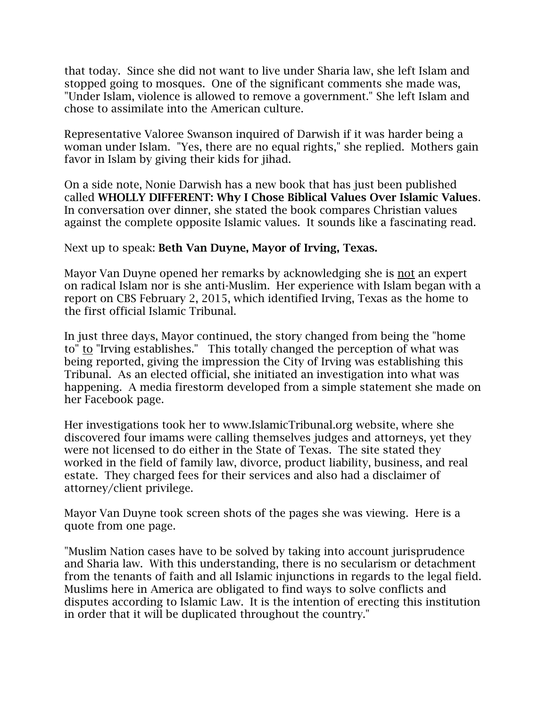that today. Since she did not want to live under Sharia law, she left Islam and stopped going to mosques. One of the significant comments she made was, "Under Islam, violence is allowed to remove a government." She left Islam and chose to assimilate into the American culture.

Representative Valoree Swanson inquired of Darwish if it was harder being a woman under Islam. "Yes, there are no equal rights," she replied. Mothers gain favor in Islam by giving their kids for jihad.

On a side note, Nonie Darwish has a new book that has just been published called **WHOLLY DIFFERENT: Why I Chose Biblical Values Over Islamic Values**. In conversation over dinner, she stated the book compares Christian values against the complete opposite Islamic values. It sounds like a fascinating read.

Next up to speak: **Beth Van Duyne, Mayor of Irving, Texas.**

Mayor Van Duyne opened her remarks by acknowledging she is not an expert on radical Islam nor is she anti-Muslim. Her experience with Islam began with a report on CBS February 2, 2015, which identified Irving, Texas as the home to the first official Islamic Tribunal.

In just three days, Mayor continued, the story changed from being the "home to" to "Irving establishes." This totally changed the perception of what was being reported, giving the impression the City of Irving was establishing this Tribunal. As an elected official, she initiated an investigation into what was happening. A media firestorm developed from a simple statement she made on her Facebook page.

Her investigations took her to www.IslamicTribunal.org website, where she discovered four imams were calling themselves judges and attorneys, yet they were not licensed to do either in the State of Texas. The site stated they worked in the field of family law, divorce, product liability, business, and real estate. They charged fees for their services and also had a disclaimer of attorney/client privilege.

Mayor Van Duyne took screen shots of the pages she was viewing. Here is a quote from one page.

"Muslim Nation cases have to be solved by taking into account jurisprudence and Sharia law. With this understanding, there is no secularism or detachment from the tenants of faith and all Islamic injunctions in regards to the legal field. Muslims here in America are obligated to find ways to solve conflicts and disputes according to Islamic Law. It is the intention of erecting this institution in order that it will be duplicated throughout the country."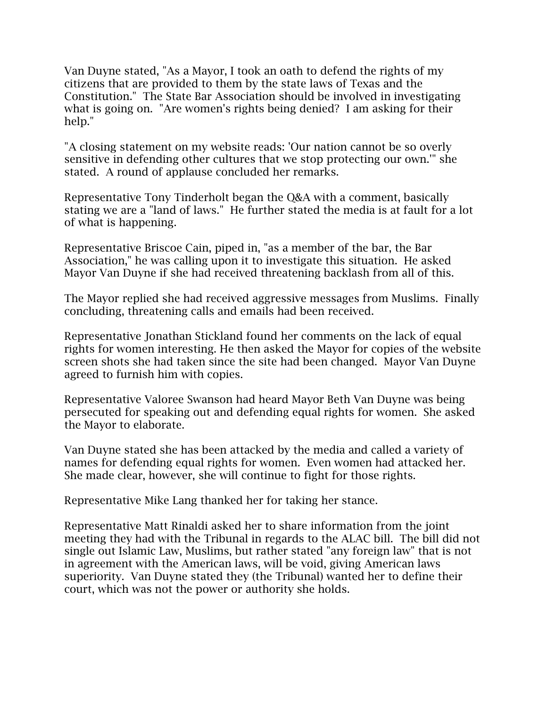Van Duyne stated, "As a Mayor, I took an oath to defend the rights of my citizens that are provided to them by the state laws of Texas and the Constitution." The State Bar Association should be involved in investigating what is going on. "Are women's rights being denied? I am asking for their help."

"A closing statement on my website reads: 'Our nation cannot be so overly sensitive in defending other cultures that we stop protecting our own.'" she stated. A round of applause concluded her remarks.

Representative Tony Tinderholt began the Q&A with a comment, basically stating we are a "land of laws." He further stated the media is at fault for a lot of what is happening.

Representative Briscoe Cain, piped in, "as a member of the bar, the Bar Association," he was calling upon it to investigate this situation. He asked Mayor Van Duyne if she had received threatening backlash from all of this.

The Mayor replied she had received aggressive messages from Muslims. Finally concluding, threatening calls and emails had been received.

Representative Jonathan Stickland found her comments on the lack of equal rights for women interesting. He then asked the Mayor for copies of the website screen shots she had taken since the site had been changed. Mayor Van Duyne agreed to furnish him with copies.

Representative Valoree Swanson had heard Mayor Beth Van Duyne was being persecuted for speaking out and defending equal rights for women. She asked the Mayor to elaborate.

Van Duyne stated she has been attacked by the media and called a variety of names for defending equal rights for women. Even women had attacked her. She made clear, however, she will continue to fight for those rights.

Representative Mike Lang thanked her for taking her stance.

Representative Matt Rinaldi asked her to share information from the joint meeting they had with the Tribunal in regards to the ALAC bill. The bill did not single out Islamic Law, Muslims, but rather stated "any foreign law" that is not in agreement with the American laws, will be void, giving American laws superiority. Van Duyne stated they (the Tribunal) wanted her to define their court, which was not the power or authority she holds.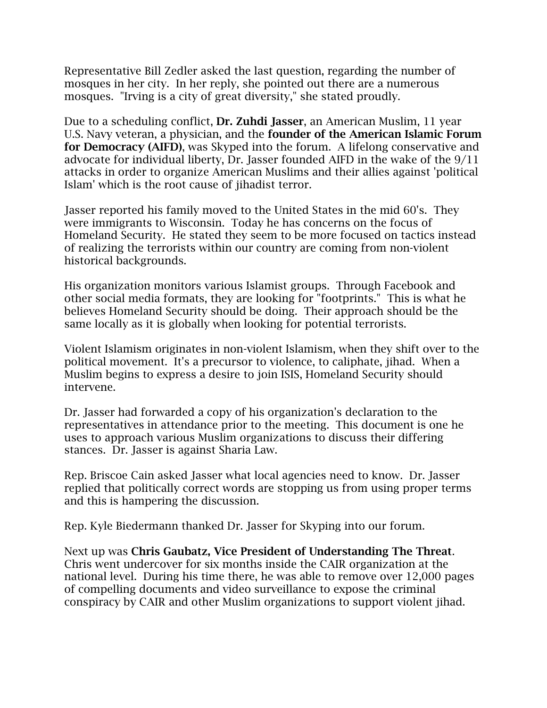Representative Bill Zedler asked the last question, regarding the number of mosques in her city. In her reply, she pointed out there are a numerous mosques. "Irving is a city of great diversity," she stated proudly.

Due to a scheduling conflict, **Dr. Zuhdi Jasser**, an American Muslim, 11 year U.S. Navy veteran, a physician, and the **founder of the American Islamic Forum for Democracy (AIFD)**, was Skyped into the forum. A lifelong conservative and advocate for individual liberty, Dr. Jasser founded AIFD in the wake of the 9/11 attacks in order to organize American Muslims and their allies against 'political Islam' which is the root cause of jihadist terror.

Jasser reported his family moved to the United States in the mid 60's. They were immigrants to Wisconsin. Today he has concerns on the focus of Homeland Security. He stated they seem to be more focused on tactics instead of realizing the terrorists within our country are coming from non-violent historical backgrounds.

His organization monitors various Islamist groups. Through Facebook and other social media formats, they are looking for "footprints." This is what he believes Homeland Security should be doing. Their approach should be the same locally as it is globally when looking for potential terrorists.

Violent Islamism originates in non-violent Islamism, when they shift over to the political movement. It's a precursor to violence, to caliphate, jihad. When a Muslim begins to express a desire to join ISIS, Homeland Security should intervene.

Dr. Jasser had forwarded a copy of his organization's declaration to the representatives in attendance prior to the meeting. This document is one he uses to approach various Muslim organizations to discuss their differing stances. Dr. Jasser is against Sharia Law.

Rep. Briscoe Cain asked Jasser what local agencies need to know. Dr. Jasser replied that politically correct words are stopping us from using proper terms and this is hampering the discussion.

Rep. Kyle Biedermann thanked Dr. Jasser for Skyping into our forum.

Next up was **Chris Gaubatz, Vice President of Understanding The Threat**. Chris went undercover for six months inside the CAIR organization at the national level. During his time there, he was able to remove over 12,000 pages of compelling documents and video surveillance to expose the criminal conspiracy by CAIR and other Muslim organizations to support violent jihad.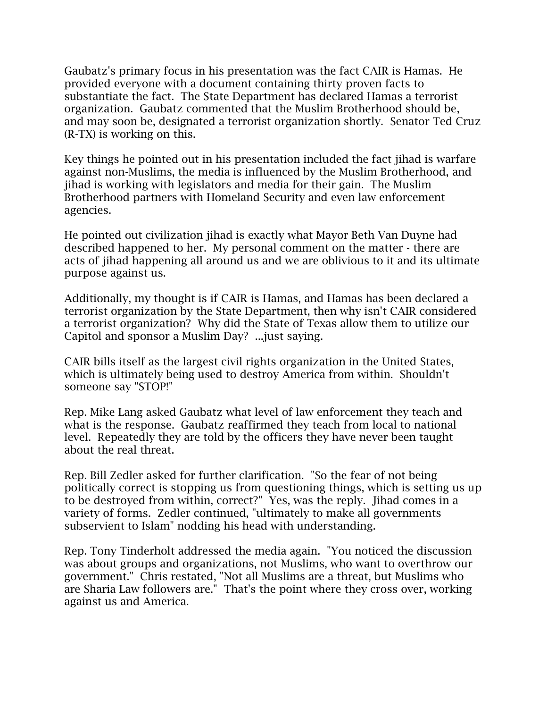Gaubatz's primary focus in his presentation was the fact CAIR is Hamas. He provided everyone with a document containing thirty proven facts to substantiate the fact. The State Department has declared Hamas a terrorist organization. Gaubatz commented that the Muslim Brotherhood should be, and may soon be, designated a terrorist organization shortly. Senator Ted Cruz (R-TX) is working on this.

Key things he pointed out in his presentation included the fact jihad is warfare against non-Muslims, the media is influenced by the Muslim Brotherhood, and jihad is working with legislators and media for their gain. The Muslim Brotherhood partners with Homeland Security and even law enforcement agencies.

He pointed out civilization jihad is exactly what Mayor Beth Van Duyne had described happened to her. My personal comment on the matter - there are acts of jihad happening all around us and we are oblivious to it and its ultimate purpose against us.

Additionally, my thought is if CAIR is Hamas, and Hamas has been declared a terrorist organization by the State Department, then why isn't CAIR considered a terrorist organization? Why did the State of Texas allow them to utilize our Capitol and sponsor a Muslim Day? ...just saying.

CAIR bills itself as the largest civil rights organization in the United States, which is ultimately being used to destroy America from within. Shouldn't someone say "STOP!"

Rep. Mike Lang asked Gaubatz what level of law enforcement they teach and what is the response. Gaubatz reaffirmed they teach from local to national level. Repeatedly they are told by the officers they have never been taught about the real threat.

Rep. Bill Zedler asked for further clarification. "So the fear of not being politically correct is stopping us from questioning things, which is setting us up to be destroyed from within, correct?" Yes, was the reply. Jihad comes in a variety of forms. Zedler continued, "ultimately to make all governments subservient to Islam" nodding his head with understanding.

Rep. Tony Tinderholt addressed the media again. "You noticed the discussion was about groups and organizations, not Muslims, who want to overthrow our government." Chris restated, "Not all Muslims are a threat, but Muslims who are Sharia Law followers are." That's the point where they cross over, working against us and America.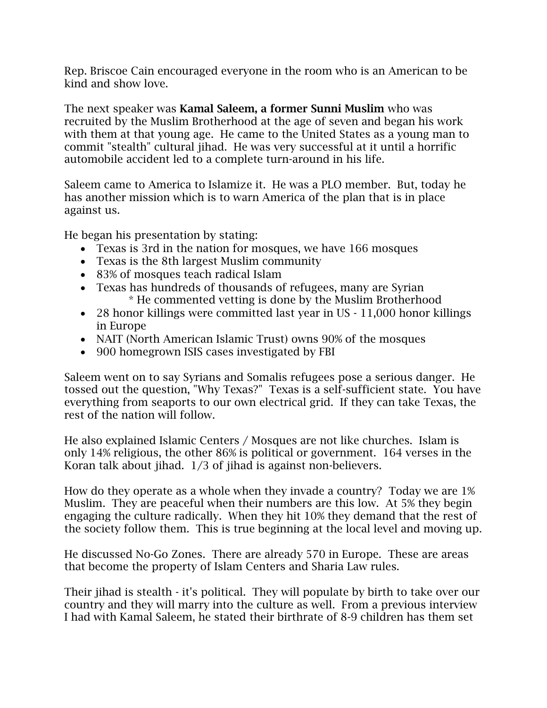Rep. Briscoe Cain encouraged everyone in the room who is an American to be kind and show love.

The next speaker was **Kamal Saleem, a former Sunni Muslim** who was recruited by the Muslim Brotherhood at the age of seven and began his work with them at that young age. He came to the United States as a young man to commit "stealth" cultural jihad. He was very successful at it until a horrific automobile accident led to a complete turn-around in his life.

Saleem came to America to Islamize it. He was a PLO member. But, today he has another mission which is to warn America of the plan that is in place against us.

He began his presentation by stating:

- Texas is 3rd in the nation for mosques, we have 166 mosques
- Texas is the 8th largest Muslim community
- 83% of mosques teach radical Islam
- Texas has hundreds of thousands of refugees, many are Syrian \* He commented vetting is done by the Muslim Brotherhood
- 28 honor killings were committed last year in US 11,000 honor killings in Europe
- NAIT (North American Islamic Trust) owns 90% of the mosques
- 900 homegrown ISIS cases investigated by FBI

Saleem went on to say Syrians and Somalis refugees pose a serious danger. He tossed out the question, "Why Texas?" Texas is a self-sufficient state. You have everything from seaports to our own electrical grid. If they can take Texas, the rest of the nation will follow.

He also explained Islamic Centers / Mosques are not like churches. Islam is only 14% religious, the other 86% is political or government. 164 verses in the Koran talk about jihad. 1/3 of jihad is against non-believers.

How do they operate as a whole when they invade a country? Today we are 1% Muslim. They are peaceful when their numbers are this low. At 5% they begin engaging the culture radically. When they hit 10% they demand that the rest of the society follow them. This is true beginning at the local level and moving up.

He discussed No-Go Zones. There are already 570 in Europe. These are areas that become the property of Islam Centers and Sharia Law rules.

Their jihad is stealth - it's political. They will populate by birth to take over our country and they will marry into the culture as well. From a previous interview I had with Kamal Saleem, he stated their birthrate of 8-9 children has them set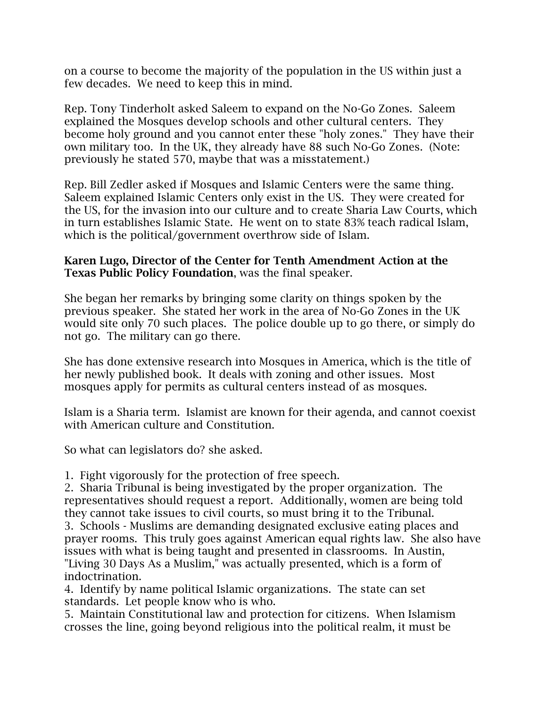on a course to become the majority of the population in the US within just a few decades. We need to keep this in mind.

Rep. Tony Tinderholt asked Saleem to expand on the No-Go Zones. Saleem explained the Mosques develop schools and other cultural centers. They become holy ground and you cannot enter these "holy zones." They have their own military too. In the UK, they already have 88 such No-Go Zones. (Note: previously he stated 570, maybe that was a misstatement.)

Rep. Bill Zedler asked if Mosques and Islamic Centers were the same thing. Saleem explained Islamic Centers only exist in the US. They were created for the US, for the invasion into our culture and to create Sharia Law Courts, which in turn establishes Islamic State. He went on to state 83% teach radical Islam, which is the political/government overthrow side of Islam.

## **Karen Lugo, Director of the Center for Tenth Amendment Action at the Texas Public Policy Foundation**, was the final speaker.

She began her remarks by bringing some clarity on things spoken by the previous speaker. She stated her work in the area of No-Go Zones in the UK would site only 70 such places. The police double up to go there, or simply do not go. The military can go there.

She has done extensive research into Mosques in America, which is the title of her newly published book. It deals with zoning and other issues. Most mosques apply for permits as cultural centers instead of as mosques.

Islam is a Sharia term. Islamist are known for their agenda, and cannot coexist with American culture and Constitution.

So what can legislators do? she asked.

1. Fight vigorously for the protection of free speech.

2. Sharia Tribunal is being investigated by the proper organization. The representatives should request a report. Additionally, women are being told they cannot take issues to civil courts, so must bring it to the Tribunal.

3. Schools - Muslims are demanding designated exclusive eating places and prayer rooms. This truly goes against American equal rights law. She also have issues with what is being taught and presented in classrooms. In Austin, "Living 30 Days As a Muslim," was actually presented, which is a form of indoctrination.

4. Identify by name political Islamic organizations. The state can set standards. Let people know who is who.

5. Maintain Constitutional law and protection for citizens. When Islamism crosses the line, going beyond religious into the political realm, it must be